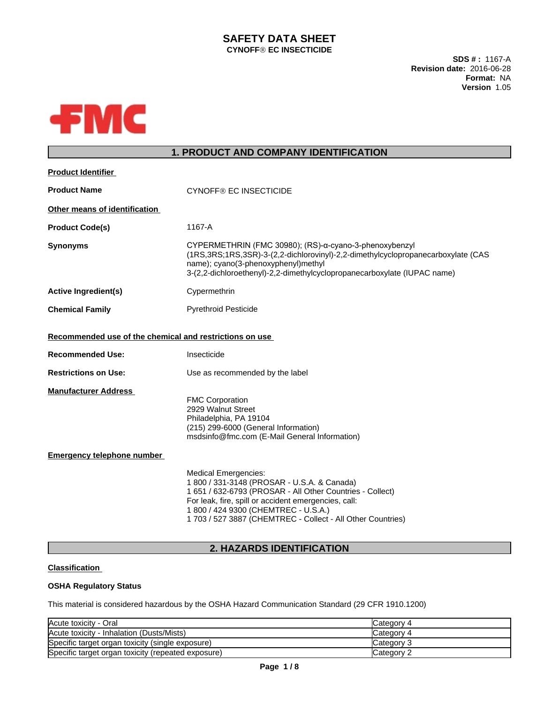# **SAFETY DATA SHEET CYNOFFÒ EC INSECTICIDE**

**SDS # :** 1167-A **Revision date:** 2016-06-28 **Format:** NA **Version** 1.05



# **1. PRODUCT AND COMPANY IDENTIFICATION**

| <b>Product Identifier</b>                               |                                                                                                                                                                                                                                                                                                        |
|---------------------------------------------------------|--------------------------------------------------------------------------------------------------------------------------------------------------------------------------------------------------------------------------------------------------------------------------------------------------------|
| <b>Product Name</b>                                     | <b>CYNOFF® EC INSECTICIDE</b>                                                                                                                                                                                                                                                                          |
| Other means of identification                           |                                                                                                                                                                                                                                                                                                        |
| <b>Product Code(s)</b>                                  | 1167-A                                                                                                                                                                                                                                                                                                 |
| <b>Synonyms</b>                                         | CYPERMETHRIN (FMC 30980); (RS)-α-cyano-3-phenoxybenzyl<br>(1RS, 3RS; 1RS, 3SR)-3-(2, 2-dichlorovinyl)-2, 2-dimethylcyclopropanecarboxylate (CAS<br>name); cyano(3-phenoxyphenyl)methyl<br>3-(2,2-dichloroethenyl)-2,2-dimethylcyclopropanecarboxylate (IUPAC name)                                     |
| <b>Active Ingredient(s)</b>                             | Cypermethrin                                                                                                                                                                                                                                                                                           |
| <b>Chemical Family</b>                                  | <b>Pyrethroid Pesticide</b>                                                                                                                                                                                                                                                                            |
| Recommended use of the chemical and restrictions on use |                                                                                                                                                                                                                                                                                                        |
| <b>Recommended Use:</b>                                 | Insecticide                                                                                                                                                                                                                                                                                            |
| <b>Restrictions on Use:</b>                             | Use as recommended by the label                                                                                                                                                                                                                                                                        |
| <b>Manufacturer Address</b>                             | <b>FMC Corporation</b><br>2929 Walnut Street<br>Philadelphia, PA 19104<br>(215) 299-6000 (General Information)<br>msdsinfo@fmc.com (E-Mail General Information)                                                                                                                                        |
| <b>Emergency telephone number</b>                       |                                                                                                                                                                                                                                                                                                        |
|                                                         | <b>Medical Emergencies:</b><br>1 800 / 331-3148 (PROSAR - U.S.A. & Canada)<br>1 651 / 632-6793 (PROSAR - All Other Countries - Collect)<br>For leak, fire, spill or accident emergencies, call:<br>1 800 / 424 9300 (CHEMTREC - U.S.A.)<br>1 703 / 527 3887 (CHEMTREC - Collect - All Other Countries) |

# **2. HAZARDS IDENTIFICATION**

## **Classification**

## **OSHA Regulatory Status**

This material is considered hazardous by the OSHA Hazard Communication Standard (29 CFR 1910.1200)

| Acute toxicity - Oral                              | Category 4        |
|----------------------------------------------------|-------------------|
| Acute toxicity - Inhalation (Dusts/Mists)          | Category 4        |
| Specific target organ toxicity (single exposure)   | <b>Category 3</b> |
| Specific target organ toxicity (repeated exposure) | Category 2        |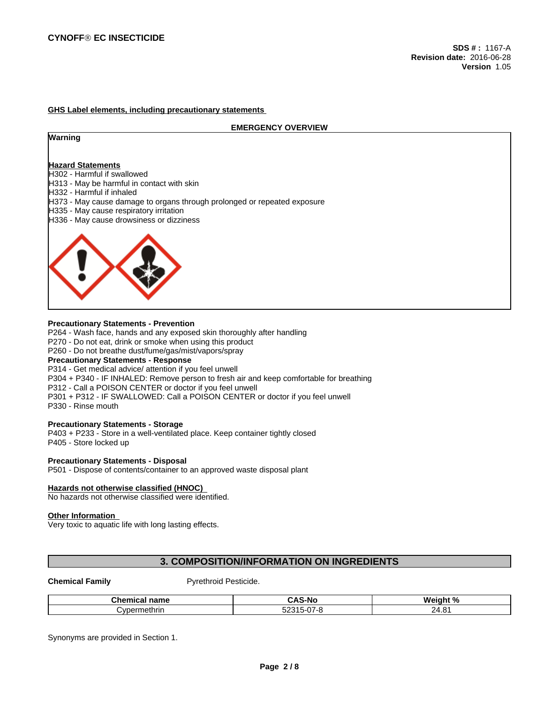### **GHS Label elements, including precautionary statements**

#### **EMERGENCY OVERVIEW**

### **Warning**

## **Hazard Statements**

- H302 Harmful if swallowed
- H313 May be harmful in contact with skin
- H332 Harmful if inhaled
- H373 May cause damage to organs through prolonged or repeated exposure
- H335 May cause respiratory irritation
- H336 May cause drowsiness or dizziness



#### **Precautionary Statements - Prevention**

P264 - Wash face, hands and any exposed skin thoroughly after handling P270 - Do not eat, drink or smoke when using this product

P260 - Do not breathe dust/fume/gas/mist/vapors/spray

### **Precautionary Statements - Response**

P314 - Get medical advice/ attention if you feel unwell P304 + P340 - IF INHALED: Remove person to fresh air and keep comfortable for breathing P312 - Call a POISON CENTER or doctor if you feel unwell

P301 + P312 - IF SWALLOWED: Call a POISON CENTER or doctor if you feel unwell

P330 - Rinse mouth

## **Precautionary Statements - Storage**

P403 + P233 - Store in a well-ventilated place. Keep container tightly closed P405 - Store locked up

#### **Precautionary Statements - Disposal**

P501 - Dispose of contents/container to an approved waste disposal plant

### **Hazards not otherwise classified (HNOC)**

No hazards not otherwise classified were identified.

#### **Other Information**

Very toxic to aquatic life with long lasting effects.

# **3. COMPOSITION/INFORMATION ON INGREDIENTS**

**Chemical Family Pyrethroid Pesticide.** 

| Chemical<br>∣name | <b>CAS-No</b>                               | Weiahı<br>ເດເ<br>70 |
|-------------------|---------------------------------------------|---------------------|
| ∵vpermethrin      | $\sim$<br>F O Q F<br>౦∠౦<br>- 77<br>$\cdot$ | o,<br>,,,<br>27.V   |

Synonyms are provided in Section 1.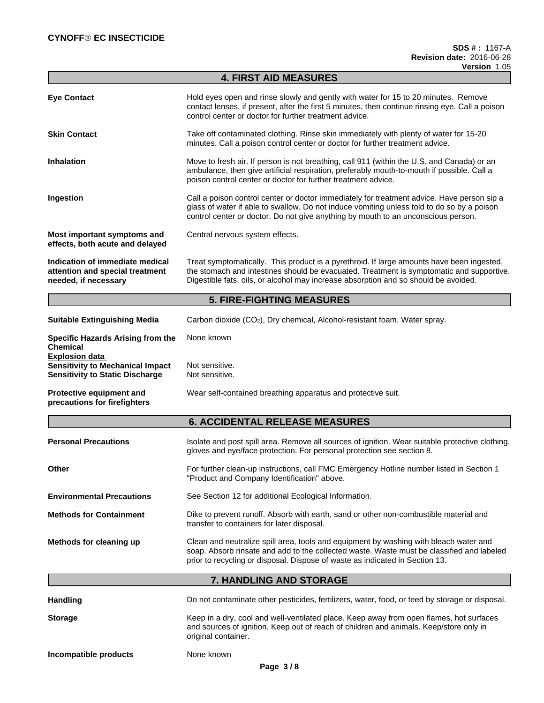|                                                                                                            | <b>4. FIRST AID MEASURES</b>                                                                                                                                                                                                                                                  |
|------------------------------------------------------------------------------------------------------------|-------------------------------------------------------------------------------------------------------------------------------------------------------------------------------------------------------------------------------------------------------------------------------|
| <b>Eye Contact</b>                                                                                         | Hold eyes open and rinse slowly and gently with water for 15 to 20 minutes. Remove<br>contact lenses, if present, after the first 5 minutes, then continue rinsing eye. Call a poison<br>control center or doctor for further treatment advice.                               |
| <b>Skin Contact</b>                                                                                        | Take off contaminated clothing. Rinse skin immediately with plenty of water for 15-20<br>minutes. Call a poison control center or doctor for further treatment advice.                                                                                                        |
| <b>Inhalation</b>                                                                                          | Move to fresh air. If person is not breathing, call 911 (within the U.S. and Canada) or an<br>ambulance, then give artificial respiration, preferably mouth-to-mouth if possible. Call a<br>poison control center or doctor for further treatment advice.                     |
| Ingestion                                                                                                  | Call a poison control center or doctor immediately for treatment advice. Have person sip a<br>glass of water if able to swallow. Do not induce vomiting unless told to do so by a poison<br>control center or doctor. Do not give anything by mouth to an unconscious person. |
| Most important symptoms and<br>effects, both acute and delayed                                             | Central nervous system effects.                                                                                                                                                                                                                                               |
| Indication of immediate medical<br>attention and special treatment<br>needed, if necessary                 | Treat symptomatically. This product is a pyrethroid. If large amounts have been ingested,<br>the stomach and intestines should be evacuated. Treatment is symptomatic and supportive.<br>Digestible fats, oils, or alcohol may increase absorption and so should be avoided.  |
|                                                                                                            | <b>5. FIRE-FIGHTING MEASURES</b>                                                                                                                                                                                                                                              |
| <b>Suitable Extinguishing Media</b>                                                                        | Carbon dioxide (CO2), Dry chemical, Alcohol-resistant foam, Water spray.                                                                                                                                                                                                      |
| Specific Hazards Arising from the<br><b>Chemical</b>                                                       | None known                                                                                                                                                                                                                                                                    |
| <b>Explosion data</b><br><b>Sensitivity to Mechanical Impact</b><br><b>Sensitivity to Static Discharge</b> | Not sensitive.<br>Not sensitive.                                                                                                                                                                                                                                              |
| Protective equipment and<br>precautions for firefighters                                                   | Wear self-contained breathing apparatus and protective suit.                                                                                                                                                                                                                  |
|                                                                                                            | <b>6. ACCIDENTAL RELEASE MEASURES</b>                                                                                                                                                                                                                                         |
| <b>Personal Precautions</b>                                                                                | Isolate and post spill area. Remove all sources of ignition. Wear suitable protective clothing,<br>gloves and eye/face protection. For personal protection see section 8.                                                                                                     |
| Other                                                                                                      | For further clean-up instructions, call FMC Emergency Hotline number listed in Section 1<br>"Product and Company Identification" above.                                                                                                                                       |
| <b>Environmental Precautions</b>                                                                           | See Section 12 for additional Ecological Information.                                                                                                                                                                                                                         |
| <b>Methods for Containment</b>                                                                             | Dike to prevent runoff. Absorb with earth, sand or other non-combustible material and<br>transfer to containers for later disposal.                                                                                                                                           |
| Methods for cleaning up                                                                                    | Clean and neutralize spill area, tools and equipment by washing with bleach water and<br>soap. Absorb rinsate and add to the collected waste. Waste must be classified and labeled<br>prior to recycling or disposal. Dispose of waste as indicated in Section 13.            |
|                                                                                                            | 7. HANDLING AND STORAGE                                                                                                                                                                                                                                                       |
| <b>Handling</b>                                                                                            | Do not contaminate other pesticides, fertilizers, water, food, or feed by storage or disposal.                                                                                                                                                                                |
| <b>Storage</b>                                                                                             | Keep in a dry, cool and well-ventilated place. Keep away from open flames, hot surfaces<br>and sources of ignition. Keep out of reach of children and animals. Keep/store only in<br>original container.                                                                      |
| Incompatible products                                                                                      | None known                                                                                                                                                                                                                                                                    |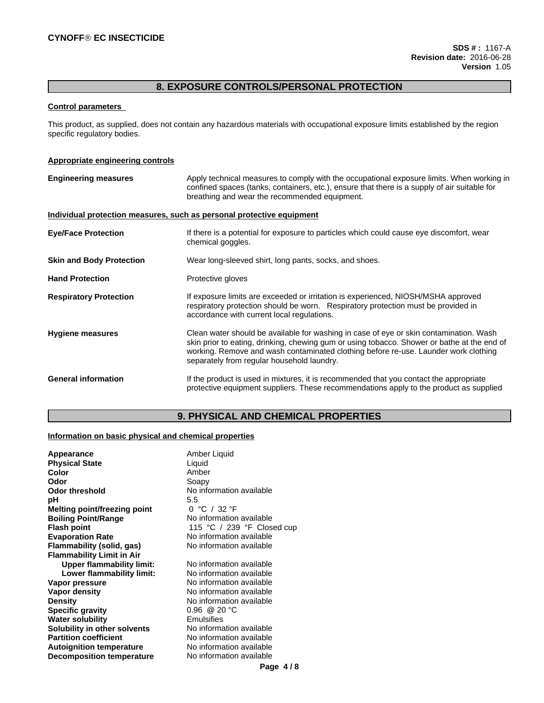# **8. EXPOSURE CONTROLS/PERSONAL PROTECTION**

## **Control parameters**

This product, as supplied, does not contain any hazardous materials with occupational exposure limits established by the region specific regulatory bodies.

## **Appropriate engineering controls**

| <b>Engineering measures</b>     | Apply technical measures to comply with the occupational exposure limits. When working in<br>confined spaces (tanks, containers, etc.), ensure that there is a supply of air suitable for<br>breathing and wear the recommended equipment.                                                                                 |
|---------------------------------|----------------------------------------------------------------------------------------------------------------------------------------------------------------------------------------------------------------------------------------------------------------------------------------------------------------------------|
|                                 | Individual protection measures, such as personal protective equipment                                                                                                                                                                                                                                                      |
| <b>Eye/Face Protection</b>      | If there is a potential for exposure to particles which could cause eye discomfort, wear<br>chemical goggles.                                                                                                                                                                                                              |
| <b>Skin and Body Protection</b> | Wear long-sleeved shirt, long pants, socks, and shoes.                                                                                                                                                                                                                                                                     |
| <b>Hand Protection</b>          | Protective gloves                                                                                                                                                                                                                                                                                                          |
| <b>Respiratory Protection</b>   | If exposure limits are exceeded or irritation is experienced, NIOSH/MSHA approved<br>respiratory protection should be worn. Respiratory protection must be provided in<br>accordance with current local regulations.                                                                                                       |
| <b>Hygiene measures</b>         | Clean water should be available for washing in case of eye or skin contamination. Wash<br>skin prior to eating, drinking, chewing gum or using tobacco. Shower or bathe at the end of<br>working. Remove and wash contaminated clothing before re-use. Launder work clothing<br>separately from regular household laundry. |
| <b>General information</b>      | If the product is used in mixtures, it is recommended that you contact the appropriate<br>protective equipment suppliers. These recommendations apply to the product as supplied                                                                                                                                           |

# **9. PHYSICAL AND CHEMICAL PROPERTIES**

## **Information on basic physical and chemical properties**

| Appearance                       | Amber Liquid               |
|----------------------------------|----------------------------|
| <b>Physical State</b>            | Liquid                     |
| Color                            | Amber                      |
| Odor                             | Soapy                      |
| <b>Odor threshold</b>            | No information available   |
| рH                               | 5.5                        |
| Melting point/freezing point     | 0 °C / 32 °F               |
| <b>Boiling Point/Range</b>       | No information available   |
| <b>Flash point</b>               | 115 °C / 239 °F Closed cup |
| <b>Evaporation Rate</b>          | No information available   |
| Flammability (solid, gas)        | No information available   |
| <b>Flammability Limit in Air</b> |                            |
| <b>Upper flammability limit:</b> | No information available   |
| Lower flammability limit:        | No information available   |
| Vapor pressure                   | No information available   |
| Vapor density                    | No information available   |
| <b>Density</b>                   | No information available   |
| <b>Specific gravity</b>          | $0.96 \ @ 20 °C$           |
| <b>Water solubility</b>          | Emulsifies                 |
| Solubility in other solvents     | No information available   |
| <b>Partition coefficient</b>     | No information available   |
| <b>Autoignition temperature</b>  | No information available   |
| <b>Decomposition temperature</b> | No information available   |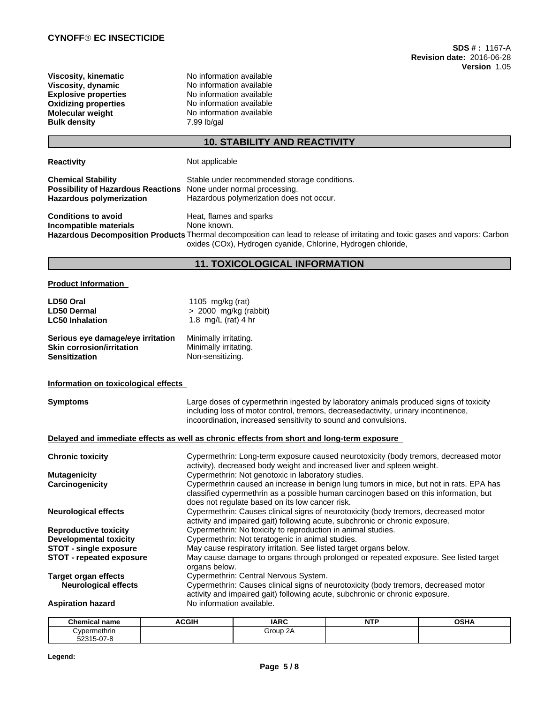| Viscosity, kinematic        |
|-----------------------------|
| Viscosity, dynamic          |
| <b>Explosive properties</b> |
| <b>Oxidizing properties</b> |
| Molecular weight            |
| <b>Bulk density</b>         |
|                             |

**Viscosity, kinematic** No information available **Viscosity, dynamic** No information available **Explosive properties** No information available **No information available No information available Bulk density** 7.99 lb/gal

# **10. STABILITY AND REACTIVITY**

| <b>Reactivity</b>                                                                                         | Not applicable                                                                                                                                                                                                                        |
|-----------------------------------------------------------------------------------------------------------|---------------------------------------------------------------------------------------------------------------------------------------------------------------------------------------------------------------------------------------|
| <b>Chemical Stability</b><br><b>Possibility of Hazardous Reactions</b><br><b>Hazardous polymerization</b> | Stable under recommended storage conditions.<br>None under normal processing.<br>Hazardous polymerization does not occur.                                                                                                             |
| <b>Conditions to avoid</b><br>Incompatible materials                                                      | Heat, flames and sparks<br>None known.<br>Hazardous Decomposition Products Thermal decomposition can lead to release of irritating and toxic gases and vapors: Carbon<br>oxides (COx), Hydrogen cyanide, Chlorine, Hydrogen chloride, |

# **11. TOXICOLOGICAL INFORMATION**

## **Product Information**

| LD50 Oral                         | 1105 mg/kg (rat)      |
|-----------------------------------|-----------------------|
| <b>LD50 Dermal</b>                | > 2000 mg/kg (rabbit) |
| <b>LC50 Inhalation</b>            | 1.8 mg/L (rat) 4 hr   |
| Serious eye damage/eye irritation | Minimally irritating. |
| <b>Skin corrosion/irritation</b>  | Minimally irritating. |

**Sensitization** Non-sensitizing.

### **Information on toxicological effects**

| <b>Symptoms</b>                 | Large doses of cypermethrin ingested by laboratory animals produced signs of toxicity<br>including loss of motor control, tremors, decreasedactivity, urinary incontinence,<br>incoordination, increased sensitivity to sound and convulsions. |
|---------------------------------|------------------------------------------------------------------------------------------------------------------------------------------------------------------------------------------------------------------------------------------------|
|                                 | Delayed and immediate effects as well as chronic effects from short and long-term exposure                                                                                                                                                     |
| <b>Chronic toxicity</b>         | Cypermethrin: Long-term exposure caused neurotoxicity (body tremors, decreased motor<br>activity), decreased body weight and increased liver and spleen weight.                                                                                |
| <b>Mutagenicity</b>             | Cypermethrin: Not genotoxic in laboratory studies.                                                                                                                                                                                             |
| Carcinogenicity                 | Cypermethrin caused an increase in benign lung tumors in mice, but not in rats. EPA has<br>classified cypermethrin as a possible human carcinogen based on this information, but<br>does not regulate based on its low cancer risk.            |
| <b>Neurological effects</b>     | Cypermethrin: Causes clinical signs of neurotoxicity (body tremors, decreased motor<br>activity and impaired gait) following acute, subchronic or chronic exposure.                                                                            |
| <b>Reproductive toxicity</b>    | Cypermethrin: No toxicity to reproduction in animal studies.                                                                                                                                                                                   |
| <b>Developmental toxicity</b>   | Cypermethrin: Not teratogenic in animal studies.                                                                                                                                                                                               |
| <b>STOT - single exposure</b>   | May cause respiratory irritation. See listed target organs below.                                                                                                                                                                              |
| <b>STOT - repeated exposure</b> | May cause damage to organs through prolonged or repeated exposure. See listed target<br>organs below.                                                                                                                                          |
| Target organ effects            | Cypermethrin: Central Nervous System.                                                                                                                                                                                                          |
| <b>Neurological effects</b>     | Cypermethrin: Causes clinical signs of neurotoxicity (body tremors, decreased motor<br>activity and impaired gait) following acute, subchronic or chronic exposure.                                                                            |
| <b>Aspiration hazard</b>        | No information available.                                                                                                                                                                                                                      |

| Chemical name                   | <b>ACGIH</b> | <b>IARC</b> | <b>NITD</b><br>13 L I | <b>OSHA</b> |
|---------------------------------|--------------|-------------|-----------------------|-------------|
| Cypermethrin                    |              | Group 2A    |                       |             |
| <u>ດສຸດ</u><br>52315<br>15-07-i |              |             |                       |             |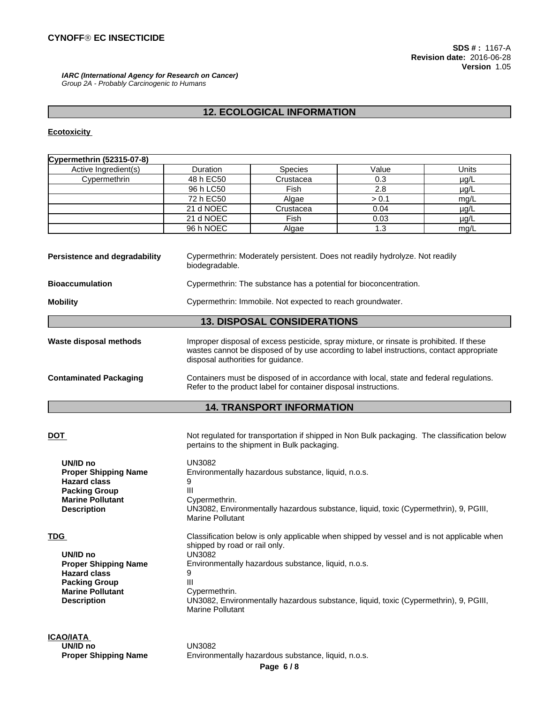*IARC (International Agency for Research on Cancer) Group 2A - Probably Carcinogenic to Humans*

# **12. ECOLOGICAL INFORMATION**

# **Ecotoxicity**

| Cypermethrin (52315-07-8)                                                                                                                             |                                                                                                                                                                                                                                                                                                                                                               |                                                                                                                                                                                      |             |                   |  |  |
|-------------------------------------------------------------------------------------------------------------------------------------------------------|---------------------------------------------------------------------------------------------------------------------------------------------------------------------------------------------------------------------------------------------------------------------------------------------------------------------------------------------------------------|--------------------------------------------------------------------------------------------------------------------------------------------------------------------------------------|-------------|-------------------|--|--|
| Active Ingredient(s)                                                                                                                                  | Duration                                                                                                                                                                                                                                                                                                                                                      | Species                                                                                                                                                                              | Value       | Units             |  |  |
| Cypermethrin                                                                                                                                          | 48 h EC50                                                                                                                                                                                                                                                                                                                                                     | Crustacea                                                                                                                                                                            | 0.3         | $\mu$ g/L         |  |  |
|                                                                                                                                                       | 96 h LC50                                                                                                                                                                                                                                                                                                                                                     | Fish                                                                                                                                                                                 | 2.8         | $\mu$ g/L         |  |  |
|                                                                                                                                                       | 72 h EC50                                                                                                                                                                                                                                                                                                                                                     | Algae                                                                                                                                                                                | > 0.1       | mg/L              |  |  |
|                                                                                                                                                       | 21 d NOEC                                                                                                                                                                                                                                                                                                                                                     | Crustacea                                                                                                                                                                            | 0.04        | $\mu$ g/L         |  |  |
|                                                                                                                                                       | 21 d NOEC<br>96 h NOEC                                                                                                                                                                                                                                                                                                                                        | Fish<br>Algae                                                                                                                                                                        | 0.03<br>1.3 | $\mu$ g/L<br>mg/L |  |  |
| <b>Persistence and degradability</b>                                                                                                                  | Cypermethrin: Moderately persistent. Does not readily hydrolyze. Not readily<br>biodegradable.<br>Cypermethrin: The substance has a potential for bioconcentration.                                                                                                                                                                                           |                                                                                                                                                                                      |             |                   |  |  |
| <b>Bioaccumulation</b>                                                                                                                                |                                                                                                                                                                                                                                                                                                                                                               |                                                                                                                                                                                      |             |                   |  |  |
| <b>Mobility</b>                                                                                                                                       |                                                                                                                                                                                                                                                                                                                                                               | Cypermethrin: Immobile. Not expected to reach groundwater.                                                                                                                           |             |                   |  |  |
|                                                                                                                                                       |                                                                                                                                                                                                                                                                                                                                                               | <b>13. DISPOSAL CONSIDERATIONS</b>                                                                                                                                                   |             |                   |  |  |
| Waste disposal methods                                                                                                                                | disposal authorities for guidance.                                                                                                                                                                                                                                                                                                                            | Improper disposal of excess pesticide, spray mixture, or rinsate is prohibited. If these<br>wastes cannot be disposed of by use according to label instructions, contact appropriate |             |                   |  |  |
| <b>Contaminated Packaging</b>                                                                                                                         |                                                                                                                                                                                                                                                                                                                                                               | Containers must be disposed of in accordance with local, state and federal regulations.<br>Refer to the product label for container disposal instructions.                           |             |                   |  |  |
|                                                                                                                                                       |                                                                                                                                                                                                                                                                                                                                                               | <b>14. TRANSPORT INFORMATION</b>                                                                                                                                                     |             |                   |  |  |
| <u>DOT</u>                                                                                                                                            |                                                                                                                                                                                                                                                                                                                                                               | Not regulated for transportation if shipped in Non Bulk packaging. The classification below                                                                                          |             |                   |  |  |
| UN/ID no<br><b>Proper Shipping Name</b><br><b>Hazard class</b><br><b>Packing Group</b><br><b>Marine Pollutant</b><br><b>Description</b>               | pertains to the shipment in Bulk packaging.<br>UN3082<br>Environmentally hazardous substance, liquid, n.o.s.<br>9<br>Ш<br>Cypermethrin.<br>UN3082, Environmentally hazardous substance, liquid, toxic (Cypermethrin), 9, PGIII,<br>Marine Pollutant                                                                                                           |                                                                                                                                                                                      |             |                   |  |  |
| <b>TDG</b><br>UN/ID no<br><b>Proper Shipping Name</b><br><b>Hazard class</b><br><b>Packing Group</b><br><b>Marine Pollutant</b><br><b>Description</b> | Classification below is only applicable when shipped by vessel and is not applicable when<br>shipped by road or rail only.<br><b>UN3082</b><br>Environmentally hazardous substance, liquid, n.o.s.<br>9<br>$\mathbf{III}$<br>Cypermethrin.<br>UN3082, Environmentally hazardous substance, liquid, toxic (Cypermethrin), 9, PGIII,<br><b>Marine Pollutant</b> |                                                                                                                                                                                      |             |                   |  |  |
| <b>ICAO/IATA</b><br>UN/ID no<br><b>Proper Shipping Name</b>                                                                                           | <b>UN3082</b>                                                                                                                                                                                                                                                                                                                                                 | Environmentally hazardous substance, liquid, n.o.s.                                                                                                                                  |             |                   |  |  |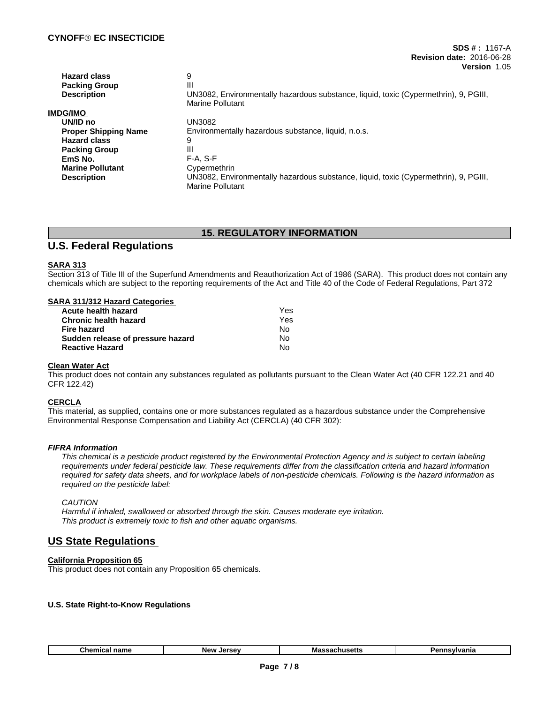| <b>Hazard class</b>         | 9                                                                                    |
|-----------------------------|--------------------------------------------------------------------------------------|
| <b>Packing Group</b>        | Ш                                                                                    |
| <b>Description</b>          | UN3082, Environmentally hazardous substance, liquid, toxic (Cypermethrin), 9, PGIII, |
|                             | <b>Marine Pollutant</b>                                                              |
| IMDG/IMO                    |                                                                                      |
| UN/ID no                    | UN3082                                                                               |
| <b>Proper Shipping Name</b> | Environmentally hazardous substance, liquid, n.o.s.                                  |
| <b>Hazard class</b>         | 9                                                                                    |
| <b>Packing Group</b>        | Ш                                                                                    |
| EmS No.                     | F-A. S-F                                                                             |
| <b>Marine Pollutant</b>     | Cypermethrin                                                                         |
| <b>Description</b>          | UN3082, Environmentally hazardous substance, liquid, toxic (Cypermethrin), 9, PGIII, |
|                             | Marine Pollutant                                                                     |

# **15. REGULATORY INFORMATION**

# **U.S. Federal Regulations**

## **SARA 313**

Section 313 of Title III of the Superfund Amendments and Reauthorization Act of 1986 (SARA). This product does not contain any chemicals which are subject to the reporting requirements of the Act and Title 40 of the Code of Federal Regulations, Part 372

## **SARA 311/312 Hazard Categories**

| Acute health hazard               | Yes |  |
|-----------------------------------|-----|--|
| <b>Chronic health hazard</b>      | Yes |  |
| Fire hazard                       | N٥  |  |
| Sudden release of pressure hazard | N٥  |  |
| <b>Reactive Hazard</b>            | N٥  |  |

## **Clean Water Act**

This product does not contain any substances regulated as pollutants pursuant to the Clean Water Act (40 CFR 122.21 and 40 CFR 122.42)

## **CERCLA**

This material, as supplied, contains one or more substances regulated as a hazardous substance under the Comprehensive Environmental Response Compensation and Liability Act (CERCLA) (40 CFR 302):

## *FIFRA Information*

This chemical is a pesticide product registered by the Environmental Protection Agency and is subject to certain labeling requirements under federal pesticide law. These requirements differ from the classification criteria and hazard information required for safety data sheets, and for workplace labels of non-pesticide chemicals. Following is the hazard information as *required on the pesticide label:*

## *CAUTION*

*Harmful if inhaled, swallowed or absorbed through the skin. Causes moderate eye irritation. This product is extremely toxic to fish and other aquatic organisms.*

# **US State Regulations**

## **California Proposition 65**

This product does not contain any Proposition 65 chemicals.

## **U.S. State Right-to-Know Regulations**

| Ghemic:<br>ıme | <b>NAW</b><br>$I^{\alpha}$ | IVIC | аню |
|----------------|----------------------------|------|-----|